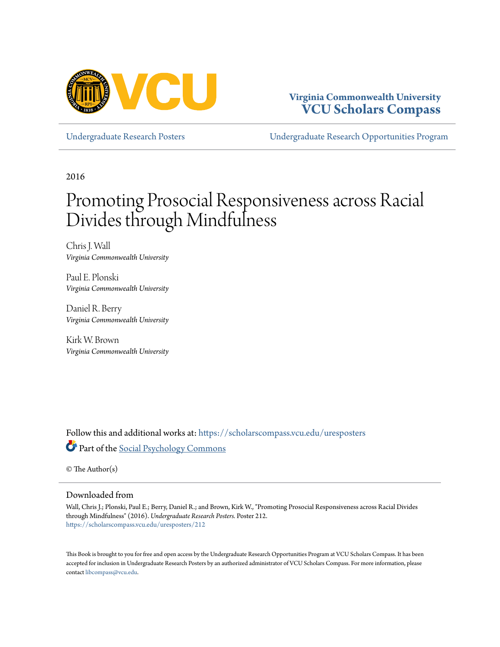

### **Virginia Commonwealth University [VCU Scholars Compass](https://scholarscompass.vcu.edu?utm_source=scholarscompass.vcu.edu%2Furesposters%2F212&utm_medium=PDF&utm_campaign=PDFCoverPages)**

[Undergraduate Research Posters](https://scholarscompass.vcu.edu/uresposters?utm_source=scholarscompass.vcu.edu%2Furesposters%2F212&utm_medium=PDF&utm_campaign=PDFCoverPages) [Undergraduate Research Opportunities Program](https://scholarscompass.vcu.edu/urop?utm_source=scholarscompass.vcu.edu%2Furesposters%2F212&utm_medium=PDF&utm_campaign=PDFCoverPages)

2016

### Promoting Prosocial Responsiveness across Racial Divides through Mindfulness

Chris J. Wall *Virginia Commonwealth University*

Paul E. Plonski *Virginia Commonwealth University*

Daniel R. Berry *Virginia Commonwealth University*

Kirk W. Brown *Virginia Commonwealth University*

Follow this and additional works at: [https://scholarscompass.vcu.edu/uresposters](https://scholarscompass.vcu.edu/uresposters?utm_source=scholarscompass.vcu.edu%2Furesposters%2F212&utm_medium=PDF&utm_campaign=PDFCoverPages) Part of the [Social Psychology Commons](http://network.bepress.com/hgg/discipline/414?utm_source=scholarscompass.vcu.edu%2Furesposters%2F212&utm_medium=PDF&utm_campaign=PDFCoverPages)

© The Author(s)

### Downloaded from

Wall, Chris J.; Plonski, Paul E.; Berry, Daniel R.; and Brown, Kirk W., "Promoting Prosocial Responsiveness across Racial Divides through Mindfulness" (2016). *Undergraduate Research Posters.* Poster 212. [https://scholarscompass.vcu.edu/uresposters/212](https://scholarscompass.vcu.edu/uresposters/212?utm_source=scholarscompass.vcu.edu%2Furesposters%2F212&utm_medium=PDF&utm_campaign=PDFCoverPages)

This Book is brought to you for free and open access by the Undergraduate Research Opportunities Program at VCU Scholars Compass. It has been accepted for inclusion in Undergraduate Research Posters by an authorized administrator of VCU Scholars Compass. For more information, please contact [libcompass@vcu.edu](mailto:libcompass@vcu.edu).